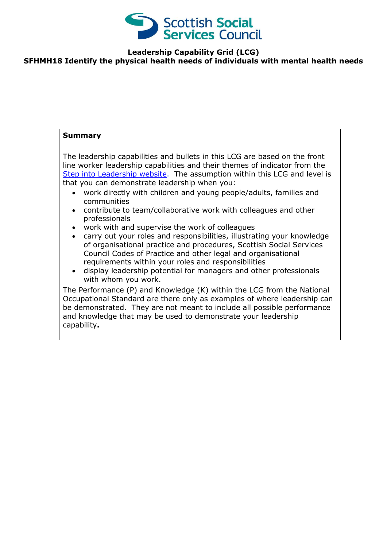

## **Leadership Capability Grid (LCG) SFHMH18 Identify the physical health needs of individuals with mental health needs**

## **Summary**

The leadership capabilities and bullets in this LCG are based on the front line worker leadership capabilities and their themes of indicator from the [Step into Leadership website.](http://www.stepintoleadership.info/) The assumption within this LCG and level is that you can demonstrate leadership when you:

- work directly with children and young people/adults, families and communities
- contribute to team/collaborative work with colleagues and other professionals
- work with and supervise the work of colleagues
- carry out your roles and responsibilities, illustrating your knowledge of organisational practice and procedures, Scottish Social Services Council Codes of Practice and other legal and organisational requirements within your roles and responsibilities
- display leadership potential for managers and other professionals with whom you work.

The Performance (P) and Knowledge (K) within the LCG from the National Occupational Standard are there only as examples of where leadership can be demonstrated. They are not meant to include all possible performance and knowledge that may be used to demonstrate your leadership capability**.**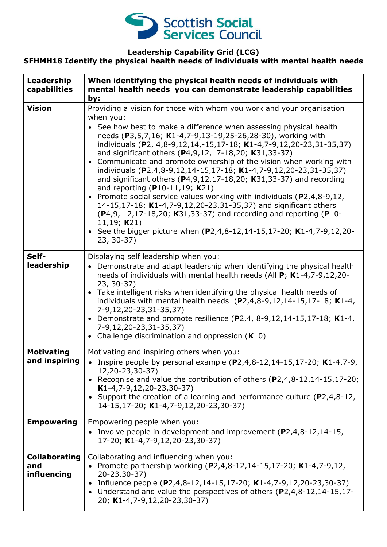

## **Leadership Capability Grid (LCG)**

## **SFHMH18 Identify the physical health needs of individuals with mental health needs**

| Leadership<br>capabilities                 | When identifying the physical health needs of individuals with<br>mental health needs you can demonstrate leadership capabilities<br>by:                                                                                                                                                                                                                                                                                                                                                                                                                                                                                                                                                                                                                                                                                                                                                                                                                                |
|--------------------------------------------|-------------------------------------------------------------------------------------------------------------------------------------------------------------------------------------------------------------------------------------------------------------------------------------------------------------------------------------------------------------------------------------------------------------------------------------------------------------------------------------------------------------------------------------------------------------------------------------------------------------------------------------------------------------------------------------------------------------------------------------------------------------------------------------------------------------------------------------------------------------------------------------------------------------------------------------------------------------------------|
| <b>Vision</b>                              | Providing a vision for those with whom you work and your organisation<br>when you:<br>• See how best to make a difference when assessing physical health<br>needs (P3,5,7,16; K1-4,7-9,13-19,25-26,28-30), working with<br>individuals (P2, 4,8-9,12,14,-15,17-18; K1-4,7-9,12,20-23,31-35,37)<br>and significant others (P4,9,12,17-18,20; K31,33-37)<br>• Communicate and promote ownership of the vision when working with<br>individuals (P2,4,8-9,12,14-15,17-18; K1-4,7-9,12,20-23,31-35,37)<br>and significant others $(P4, 9, 12, 17 - 18, 20; K31, 33 - 37)$ and recording<br>and reporting ( $P10-11,19$ ; K21)<br>• Promote social service values working with individuals ( $P2,4,8-9,12$ ,<br>14-15,17-18; K1-4,7-9,12,20-23,31-35,37) and significant others<br>(P4,9, 12,17-18,20; K31,33-37) and recording and reporting (P10-<br>11,19; <b>K</b> 21)<br>• See the bigger picture when $(P2, 4, 8-12, 14-15, 17-20; K1-4, 7-9, 12, 20-$<br>$23, 30-37)$ |
| Self-<br>leadership                        | Displaying self leadership when you:<br>• Demonstrate and adapt leadership when identifying the physical health<br>needs of individuals with mental health needs (All P; K1-4,7-9,12,20-<br>$23, 30-37)$<br>• Take intelligent risks when identifying the physical health needs of<br>individuals with mental health needs $(P2, 4, 8-9, 12, 14-15, 17-18; K1-4,$<br>7-9,12,20-23,31-35,37)<br>• Demonstrate and promote resilience (P2,4, 8-9,12,14-15,17-18; K1-4,<br>7-9,12,20-23,31-35,37)<br>• Challenge discrimination and oppression (K10)                                                                                                                                                                                                                                                                                                                                                                                                                       |
| <b>Motivating</b><br>and inspiring         | Motivating and inspiring others when you:<br>• Inspire people by personal example $(P2, 4, 8-12, 14-15, 17-20; K1-4, 7-9,$<br>12,20-23,30-37)<br>• Recognise and value the contribution of others $(P2,4,8-12,14-15,17-20;$<br>$K1-4, 7-9, 12, 20-23, 30-37)$<br>• Support the creation of a learning and performance culture ( $P2,4,8-12$ ,<br>14-15,17-20; K1-4,7-9,12,20-23,30-37)                                                                                                                                                                                                                                                                                                                                                                                                                                                                                                                                                                                  |
| <b>Empowering</b>                          | Empowering people when you:<br>• Involve people in development and improvement (P2,4,8-12,14-15,<br>17-20; K1-4,7-9,12,20-23,30-37)                                                                                                                                                                                                                                                                                                                                                                                                                                                                                                                                                                                                                                                                                                                                                                                                                                     |
| <b>Collaborating</b><br>and<br>influencing | Collaborating and influencing when you:<br>• Promote partnership working (P2,4,8-12,14-15,17-20; K1-4,7-9,12,<br>$20 - 23, 30 - 37)$<br>Influence people (P2,4,8-12,14-15,17-20; K1-4,7-9,12,20-23,30-37)<br>Understand and value the perspectives of others $(P2,4,8-12,14-15,17-$<br>20; K1-4,7-9,12,20-23,30-37)                                                                                                                                                                                                                                                                                                                                                                                                                                                                                                                                                                                                                                                     |